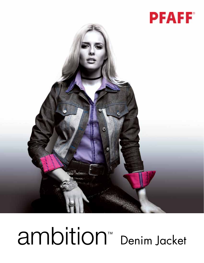



## ambition<sup>™</sup> Denim Jacket